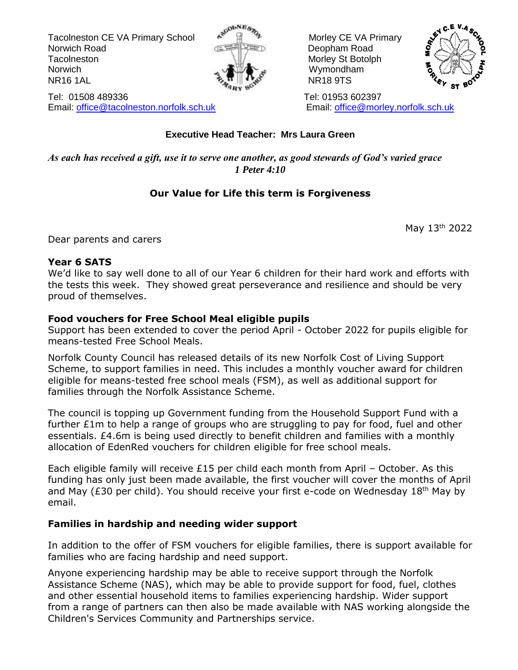Tacolneston CE VA Primary School  $\mathbb{R}^{\mathbb{N}}$   $\mathbb{R}^{\mathbb{N}}$  Morley CE VA Primary Norwich Road Deopham Road Tacolneston Morley St Botolph Morley St Botolph Norwich **Wymondham** NR16 1AL NR18 9TS





#### Tel: 01508 489336 Tel: 01953 602397 Email: [office@tacolneston.norfolk.sch.uk](mailto:office@tacolneston.norfolk.sch.uk) Email: [office@morley.norfolk.sch.uk](mailto:office@morley.norfolk.sch.uk)

#### **Executive Head Teacher: Mrs Laura Green**

*As each has received a gift, use it to serve one another, as good stewards of God's varied grace 1 Peter 4:10*

#### **Our Value for Life this term is Forgiveness**

May 13th 2022

Dear parents and carers

#### **Year 6 SATS**

We'd like to say well done to all of our Year 6 children for their hard work and efforts with the tests this week. They showed great perseverance and resilience and should be very proud of themselves.

#### **Food vouchers for Free School Meal eligible pupils**

Support has been extended to cover the period April - October 2022 for pupils eligible for means-tested Free School Meals.

Norfolk County Council has released details of its new Norfolk Cost of Living Support Scheme, to support families in need. This includes a monthly voucher award for children eligible for means-tested free school meals (FSM), as well as additional support for families through the Norfolk Assistance Scheme.

The council is topping up Government funding from the Household Support Fund with a further  $E1m$  to help a range of groups who are struggling to pay for food, fuel and other essentials. £4.6m is being used directly to benefit children and families with a monthly allocation of EdenRed vouchers for children eligible for free school meals.

Each eligible family will receive  $£15$  per child each month from April – October. As this funding has only just been made available, the first voucher will cover the months of April and May ( $E30$  per child). You should receive your first e-code on Wednesday  $18<sup>th</sup>$  May by email.

#### **Families in hardship and needing wider support**

In addition to the offer of FSM vouchers for eligible families, there is support available for families who are facing hardship and need support.

Anyone experiencing hardship may be able to receive support through the Norfolk Assistance Scheme (NAS), which may be able to provide support for food, fuel, clothes and other essential household items to families experiencing hardship. Wider support from a range of partners can then also be made available with NAS working alongside the Children's Services Community and Partnerships service.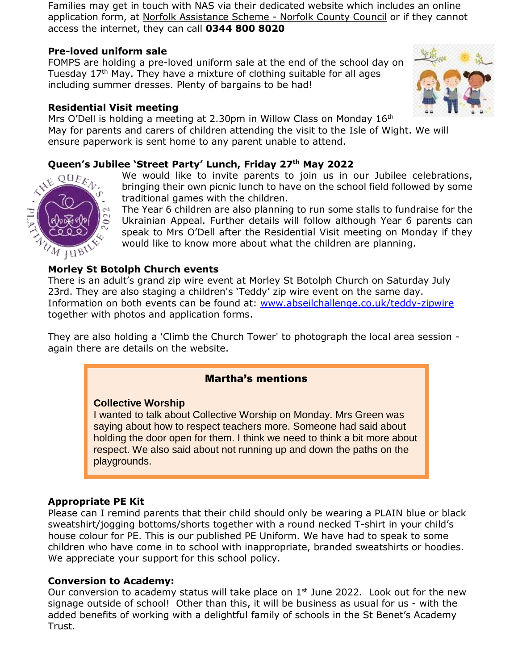Families may get in touch with NAS via their dedicated website which includes an online application form, at Norfolk [Assistance](https://www.norfolk.gov.uk/care-support-and-health/support-for-living-independently/money-and-benefits/norfolk-assistance-scheme) Scheme - Norfolk County Council or if they cannot access the internet, they can call **0344 800 8020**

#### **Pre-loved uniform sale**

FOMPS are holding a pre-loved uniform sale at the end of the school day on Tuesday  $17<sup>th</sup>$  May. They have a mixture of clothing suitable for all ages including summer dresses. Plenty of bargains to be had!

#### **Residential Visit meeting**

Mrs O'Dell is holding a meeting at 2.30pm in Willow Class on Monday  $16<sup>th</sup>$ May for parents and carers of children attending the visit to the Isle of Wight. We will ensure paperwork is sent home to any parent unable to attend.

#### **Queen's Jubilee 'Street Party' Lunch, Friday 27th May 2022**

We would like to invite parents to join us in our Jubilee celebrations, bringing their own picnic lunch to have on the school field followed by some traditional games with the children.

The Year 6 children are also planning to run some stalls to fundraise for the Ukrainian Appeal. Further details will follow although Year 6 parents can speak to Mrs O'Dell after the Residential Visit meeting on Monday if they would like to know more about what the children are planning.

#### **Morley St Botolph Church events**

There is an adult's grand zip wire event at Morley St Botolph Church on Saturday July 23rd. They are also staging a children's 'Teddy' zip wire event on the same day. Information on both events can be found at: [www.abseilchallenge.co.uk/teddy-zipwire](http://www.abseilchallenge.co.uk/teddy-zipwire) together with photos and application forms.

They are also holding a 'Climb the Church Tower' to photograph the local area session again there are details on the website.

#### Martha's mentions

#### **Collective Worship**

I wanted to talk about Collective Worship on Monday. Mrs Green was saying about how to respect teachers more. Someone had said about holding the door open for them. I think we need to think a bit more about respect. We also said about not running up and down the paths on the playgrounds.

#### **Appropriate PE Kit**

Please can I remind parents that their child should only be wearing a PLAIN blue or black sweatshirt/jogging bottoms/shorts together with a round necked T-shirt in your child's house colour for PE. This is our published PE Uniform. We have had to speak to some children who have come in to school with inappropriate, branded sweatshirts or hoodies. We appreciate your support for this school policy.

#### **Conversion to Academy:**

Our conversion to academy status will take place on  $1<sup>st</sup>$  June 2022. Look out for the new signage outside of school! Other than this, it will be business as usual for us - with the added benefits of working with a delightful family of schools in the St Benet's Academy Trust.



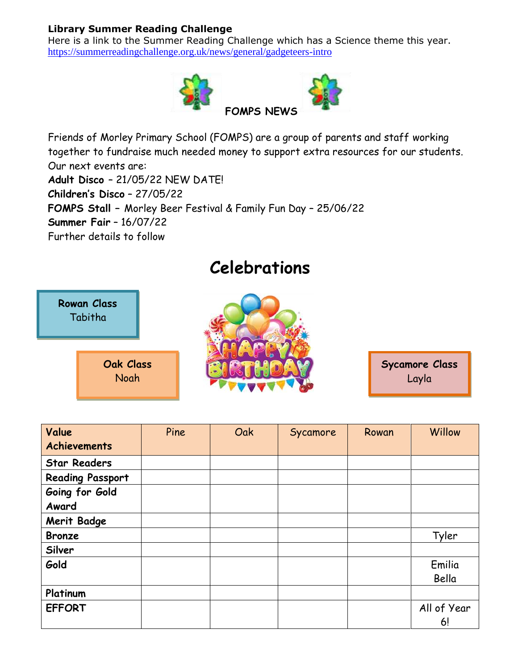#### **Library Summer Reading Challenge**

Here is a link to the Summer Reading Challenge which has a Science theme this year. <https://summerreadingchallenge.org.uk/news/general/gadgeteers-intro>



Friends of Morley Primary School (FOMPS) are a group of parents and staff working together to fundraise much needed money to support extra resources for our students. Our next events are: **Adult Disco** – 21/05/22 NEW DATE! **Children's Disco** – 27/05/22 **FOMPS Stall –** Morley Beer Festival & Family Fun Day – 25/06/22 **Summer Fair** – 16/07/22 Further details to follow

## **Celebrations**



**Sycamore Class** Layla

| Value                   | Pine | Oak | Sycamore | Rowan | Willow      |
|-------------------------|------|-----|----------|-------|-------------|
| <b>Achievements</b>     |      |     |          |       |             |
| <b>Star Readers</b>     |      |     |          |       |             |
| <b>Reading Passport</b> |      |     |          |       |             |
| Going for Gold          |      |     |          |       |             |
| Award                   |      |     |          |       |             |
| <b>Merit Badge</b>      |      |     |          |       |             |
| <b>Bronze</b>           |      |     |          |       | Tyler       |
| Silver                  |      |     |          |       |             |
| Gold                    |      |     |          |       | Emilia      |
|                         |      |     |          |       | Bella       |
| Platinum                |      |     |          |       |             |
| <b>EFFORT</b>           |      |     |          |       | All of Year |
|                         |      |     |          |       | 6!          |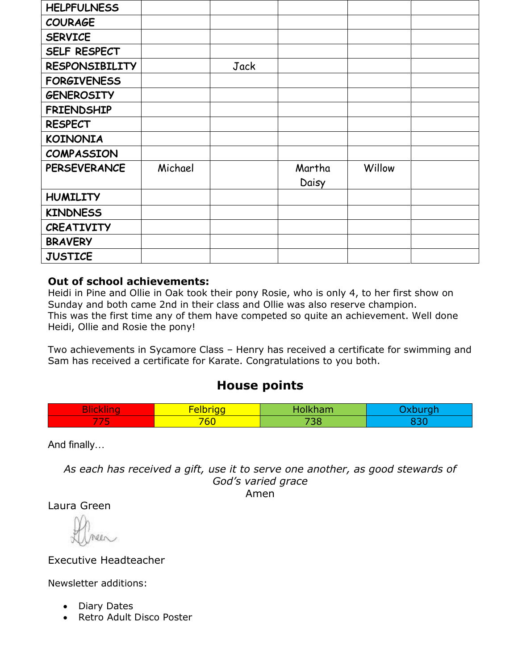| <b>HELPFULNESS</b>    |         |      |        |        |  |
|-----------------------|---------|------|--------|--------|--|
| <b>COURAGE</b>        |         |      |        |        |  |
| <b>SERVICE</b>        |         |      |        |        |  |
| SELF RESPECT          |         |      |        |        |  |
| <b>RESPONSIBILITY</b> |         | Jack |        |        |  |
| <b>FORGIVENESS</b>    |         |      |        |        |  |
| <b>GENEROSITY</b>     |         |      |        |        |  |
| <b>FRIENDSHIP</b>     |         |      |        |        |  |
| <b>RESPECT</b>        |         |      |        |        |  |
| <b>KOINONIA</b>       |         |      |        |        |  |
| <b>COMPASSION</b>     |         |      |        |        |  |
| <b>PERSEVERANCE</b>   | Michael |      | Martha | Willow |  |
|                       |         |      | Daisy  |        |  |
| <b>HUMILITY</b>       |         |      |        |        |  |
| <b>KINDNESS</b>       |         |      |        |        |  |
| <b>CREATIVITY</b>     |         |      |        |        |  |
| <b>BRAVERY</b>        |         |      |        |        |  |
| <b>JUSTICE</b>        |         |      |        |        |  |

#### **Out of school achievements:**

Heidi in Pine and Ollie in Oak took their pony Rosie, who is only 4, to her first show on Sunday and both came 2nd in their class and Ollie was also reserve champion. This was the first time any of them have competed so quite an achievement. Well done Heidi, Ollie and Rosie the pony!

Two achievements in Sycamore Class – Henry has received a certificate for swimming and Sam has received a certificate for Karate. Congratulations to you both.

#### **House points**

| <b>The Second Second</b><br>4 I V<br><b>Contract</b> | . .<br>--<br>-- | - -<br>Nan N |  |
|------------------------------------------------------|-----------------|--------------|--|
| $\sim$                                               | 766             | 700          |  |

And finally…

*As each has received a gift, use it to serve one another, as good stewards of God's varied grace*

Amen

Laura Green

Executive Headteacher

Newsletter additions:

- Diary Dates
- Retro Adult Disco Poster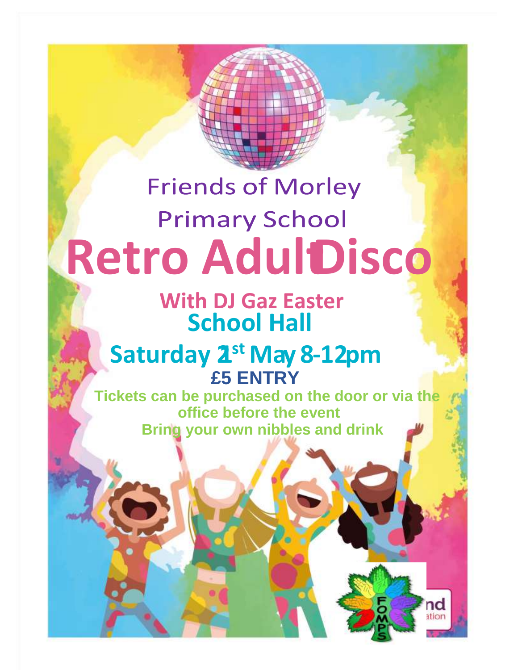# **Friends of Morley Primary School Retro AdultDisco**

**School Hall With DJ Gaz Easter**

# **£5 ENTRY Saturday 2<sup>st</sup> May 8-12pm**

**Tickets can be purchased on the door or via the office before the event Bring your own nibbles and drink**

nd